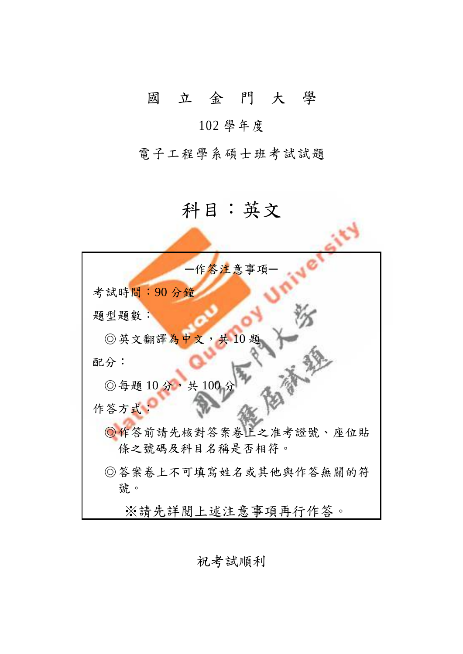## 國 立 金 門 大 學

## 102 學年度

電子工程學系碩士班考試試題

## 科目:英文

 $\qquad \qquad \blacksquare$ 

| 一作答注意事項一              |
|-----------------------|
| 考試時間:90分鐘             |
| 題型題數:                 |
| ◎英文翻譯為中文,共10題         |
| 配分:                   |
| ◎每題 10分,共100 分        |
| 作答方式:                 |
| ◎作答前請先核對答案卷上之准考證號、座位貼 |
| 條之號碼及科目名稱是否相符。        |
| ◎答案卷上不可填寫姓名或其他與作答無關的符 |
| 號。                    |
| ※請先詳閲上述注意事項再行作答。      |

祝考試順利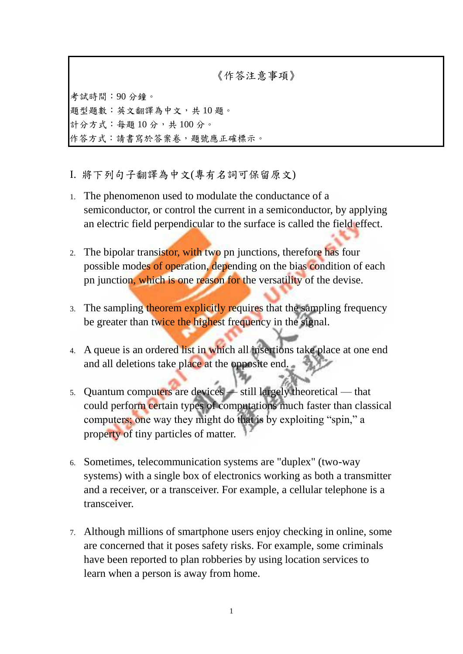《作答注意事項》

考試時間:90 分鐘。 題型題數:英文翻譯為中文,共 10 題。 計分方式:每題10分,共100分。 作答方式:請書寫於答案卷,題號應正確標示。

- I. 將下列句子翻譯為中文(專有名詞可保留原文)
- 1. The phenomenon used to modulate the conductance of a semiconductor, or control the current in a semiconductor, by applying an electric field perpendicular to the surface is called the field effect.
- 2. The bipolar transistor, with two pn junctions, therefore has four possible modes of operation, depending on the bias condition of each pn junction, which is one reason for the versatility of the devise.
- 3. The sampling theorem explicitly requires that the sampling frequency be greater than twice the highest frequency in the signal.
- 4. A queue is an ordered list in which all insertions take place at one end and all deletions take place at the opposite end.
- 5. Quantum computers are devices still largely theoretical that could perform certain types of computations much faster than classical computers; one way they might do that is by exploiting "spin," a property of tiny particles of matter.
- 6. Sometimes, telecommunication systems are "duplex" (two-way systems) with a single box of electronics working as both a transmitter and a receiver, or a transceiver. For example, a cellular telephone is a transceiver.
- 7. Although millions of smartphone users enjoy checking in online, some are concerned that it poses safety risks. For example, some criminals have been reported to plan robberies by using location services to learn when a person is away from home.